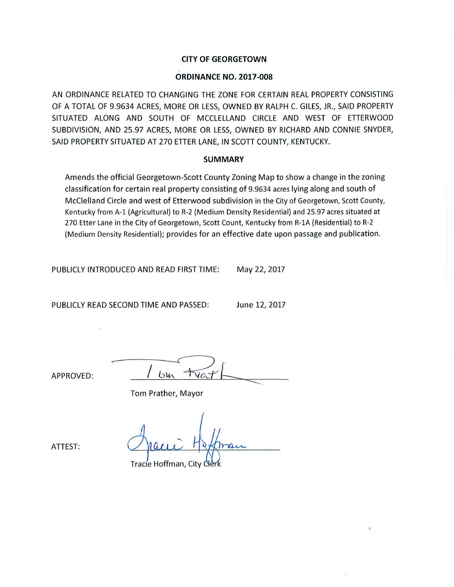## **CITY OF GEORGETOWN**

### **ORDINANCE NO. 2017-008**

AN ORDINANCE RELATED TO CHANGING THE ZONE FOR CERTAIN REAL PROPERTY CONSISTING OF A TOTAL OF 9.9634 ACRES, MORE OR LESS, OWNED BY RALPH C. GILES, JR., SAID PROPERTY SITUATED ALONG AND SOUTH OF MCCLELLAND CIRCLE AND WEST OF ETTERWOOD SUBDIVISION, AND 25.97 ACRES, MORE OR LESS, OWNED BY RICHARD AND CONNIE SNYDER, SAID PROPERTY SITUATED AT 270 ETTER LANE, IN SCOTT COUNTY, KENTUCKY.

### **SUMMARY**

Amends the official Georgetown-Scott County Zoning Map to show a change in the zoning classification for certain real property consisting of 9.9634 acres lying along and south of McClelland Circle and west of Etterwood subdivision in the City of Georgetown, Scott County, Kentucky from A-1 (Agricultural) to R-2 (Medium Density Residential) and 25.97 acres situated at 270 Etter Lane in the City of Georgetown, Scott Count, Kentucky from R-lA (Residential) to R-2 (Medium Density Residential); provides for an effective date upon passage and publication.

PUBLICLY INTRODUCED AND READ FIRST TIME: May 22, 2017

PUBLICLY READ SECOND TIME AND PASSED: June 12, 2017

APPROVED:

 $U$ 

Tom Prather, Mayor

Tracie Hoffman, City

ATTEST: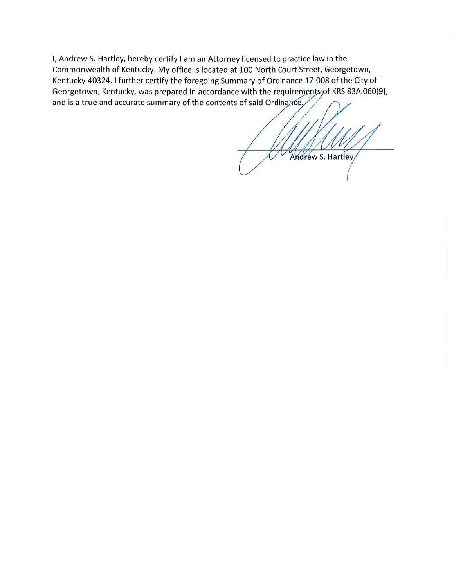I, Andrew S. Hartley, hereby certify I am an Attorney licensed to practice law in the Commonwealth of Kentucky. My office is located at 100 North Court Street, Georgetown, Kentucky 40324. I further certify the foregoing Summary of Ordinance 17-008 of the City of Georgetown, Kentucky, was prepared in accordance with the requirem ents of KRS 83A.060(9), and is a true and accurate summary of the contents of said Ordinance.

Andrew S. Hartley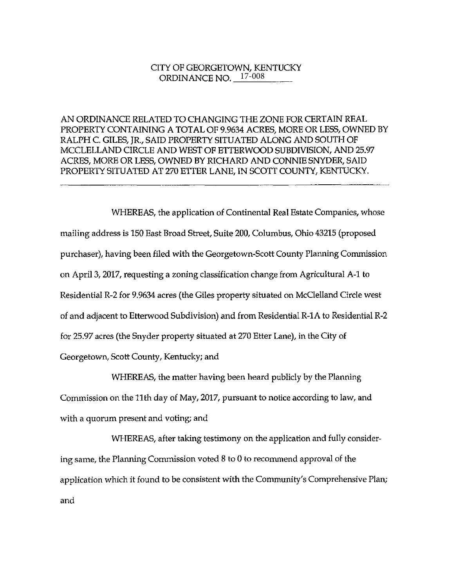# CITY OF GEORGETOWN, KENTUCKY TY OF GEORGETOWN, KENTUCI<br>ORDINANCE NO. <u>\_\_<sup>17-008</sup>\_\_</u>\_\_\_\_\_

AN ORDINANCE RELATED TO CHANGING THE ZONE FOR CERTAIN REAL PROPERTY CONTAINING A TOTAL OF 9.9634 ACRES, MORE OR LESS, OWNED BY RALPH C. GILES, JR., SAID PROPERTY SITUATED ALONG AND SOUTH OF MCCLELLAND CIRCLE AND WEST OF ETTERWOOD SUBDIVISION, AND 25.97 ACRES, MORE OR LESS, OWNED BY RICHARD AND CONNIE SNYDER, SAID PROPERTY SITUATED AT 270 ETTER LANE, IN SCOTT COUNTY, KENTUCKY.

WHEREAS, the application of Continental Real Estate Companies, whose mailing address is 150 East Broad Street, Suite 200, Columbus, Ohio 43215 (proposed purchaser), having been filed with the Georgetown-Scott County Planning Commission on April 3, 2017, requesting a zoning classification change from Agricultural A-1 to Residential R-2 for 9.9634 acres (the Giles property situated on McClelland Circle west of and adjacent to Etterwood Subdivision) and from Residential R-lA to Residential R-2 for 25.97 acres (the Snyder property situated at 270 Etter Lane), in the City of Georgetown, Scott County, Kentucky; and

WHEREAS, the matter having been heard publicly by the Planning Commission on the 11th day of May, 2017, pursuant to notice according to law, and with a quorum present and voting; and

WHEREAS, after taking testimony on the application and fully considering same, the Planning Commission voted 8 to 0 to reconunend approval of the application which it found to be consistent with the Community's Comprehensive Plan; and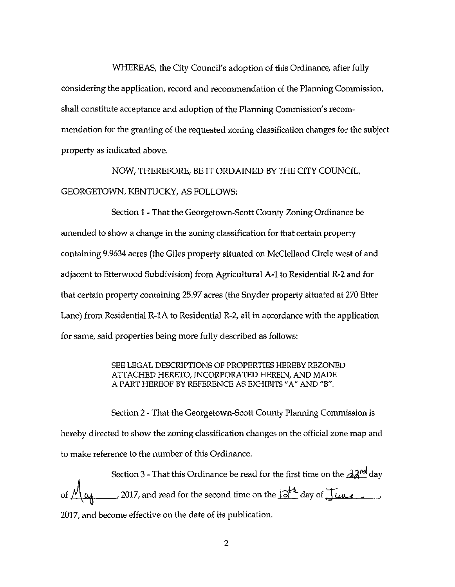WHEREAS, the City Council's adoption of this Ordinance, after fully considering the application, record and recommendation of the Planning Commission, shall constitute acceptance and adoption of the Planning Commission's recommendation for the granting of the requested zoning classification changes for the subject property as indicated above.

NOW, THEREFORE, BE IT ORDAINED BY THE CITY COUNCIL, GEORGETOWN, KENTUCKY, AS FOLLOWS:

Section 1 - That the Georgetown-Scott County Zoning Ordinance be amended to show a change in the zoning classification for that certain property containing 9.9634 acres (the Giles property situated on McClelland Circle west of and adjacent to Etterwood Subdivision) from Agricultural A-1 to Residential R-2 and for that certain property containing 25.97 acres (the Snyder property situated at 270 Etter Lane) from Residential R-lA to Residential R-2, all in accordance with the application for same, said properties being more fully described as follows:

> SEE LEGAL DESCRIPTIONS OF PROPERTIES HEREBY REZONED ATTACHED HERETO, INCORPORATED HEREIN, AND MADE *A* PART HEREOF BY REFERENCE AS EXHIBITS "A" AND "B".

Section 2 - That the Georgetown-Scott County Planning Commission is hereby directed to show the zoning classification changes on the official zone map and to make reference to the number of this Ordinance.

Section 3 - That this Ordinance be read for the first time on the  $\partial A^{\text{nd}}$  day 2017, and read for the second time on the  $\mathbb{R}^4$  day of June 2017, and become effective on the date of its publication.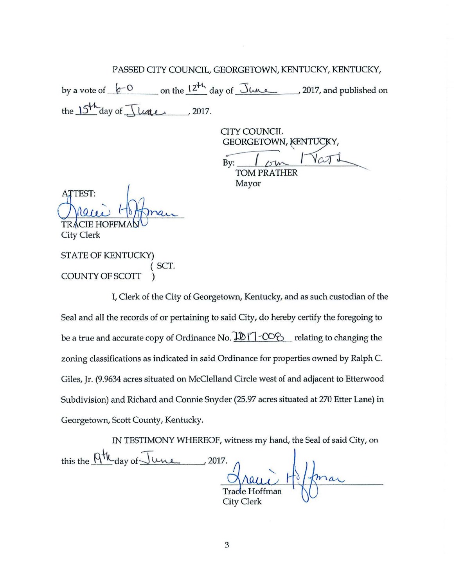PASSED CITY COUNCIL, GEORGETOWN, KENTUCKY, KENTUCKY,

by a vote of  $\sqrt{e^{-Q}}$  on the  $\frac{12^{H_h}}{24}$  day of  $\sqrt{3\mu_{h}}$  , 2017, and published on the  $15<sup>th</sup>$  day of  $\sqrt{100}$ . , 2017.

CITY COUNCIL GEORGETOWN, CITY COUNCIL<br>GEORGETOWN, KENTUCKY,<br>By: <u>I <sub>CIM</sub>IV</u> CJ L t<EN'fl9Y,

TOM PRATHER Mayor

TTEST: **TRA** 

**City Clerk** 

STATE OF KENTUCKY) SCT. COUNTY OF SCOTT )

I, Clerk of the City of Georgetown, Kentucky, and as such custodian of the Seal and all the records of or pertaining to said City, do hereby certify the foregoing to be a true and accurate copy of Ordinance No.  $\frac{10}{7}$  -CO $\frac{20}{7}$  relating to changing the zoning classifications as indicated in said Ordinance for properties owned by Ralph C. Giles, Jr. (9.9634 acres situated on McClelland Circle west of and adjacent to Etterwood Subdivision) and Richard and Connie Snyder (25.97 acres situated at 270 Etter Lane) in Georgetown, Scott County, Kentucky.

IN TFSTIMONY WHEREOF, witness my hand, the Seal of said City, on this the  $\overline{QH}_{day}$  of  $\overline{\int u \mu e}$  , 2017. Tracie Hoffman City Clerk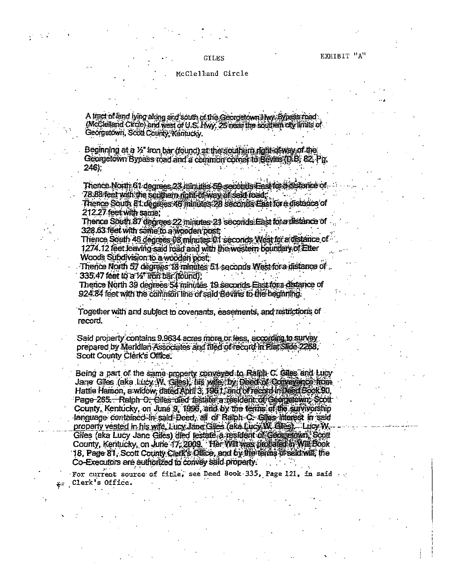### EXHIBIT "A"

#### McClelland Circle

A tract of land lying along and south of the Georgetown Hwy. Bypass road (McClelland Circle) and west of U.S. Hwy. 25 near the southern city limits of Georgetown, Scott County, Kentucky,

Beginning at a 1/2" from bar (found) at the southern right of way of the Georgetown Bypass road and a common comer to Bevins (D.B. 82, Pg. 246).

Thence North 61 degrees 23 minutes 59 seconds Eest for a distance of 78.88 feet with the southern notifical way of said road.

Thence South & Ldegrees 46 minutes: 28 seconds East for a distance of 212.27 feet with same:

Thence South 87 decrees 22 minutes 21 seconds East for a distance of 328.63 feet with same to a wooden post;

Thence South 46 degrees 08 minutes 01 seconds West for a distance of 1274.12 feet leaving said road and with the western boundary of Etter Woods Subdivision to a wooden post:

Therice North 57 degrees 18 minutes 51 seconds West fore distance of 335.47 feet to a 14" iron bar (found).

Thence North 39 degrees 54 minutes 19 seconds East for a distance of 924.84 feet with the common line of said Bevins to the beginning.

Together with and subject to covenants, easements, and restrictions of record.

Said property contains 9.9634 acres more or less, according to survey prepared by Meridian Associates and filed of record in Plat Slide 2268. Scott County Clerk's Office.

Being a part of the same property conveyed to Rainh C. Giles and Lucy Jane Gles (aka Lucy W. Gles), his wife by Deed of Concernce from Hattie Hamon, a widow, dated April 3, 1961; and of record in Decarbook 90, Page-265. Raiph C: Giles died testate a resident of Georgetown, Scott County, Kentucky, on June 9, 1996, and by the terms of the survivorship language contained in said Deed, all of Raiph C. Giles interest in said property vested in his wife, Lucy Jane Giles (ake Lucy W. Giles). Lucy W. Giles (aka Lucy Jane Giles) died testate a resident of Georgenwa, Scott County, Kentucky, on June 17, 2009. Her Will was probated in Will Book 18, Page 81, Scott County Clerk's Office, and by the terms of seld will, the Co-Executors are authorized to convey said property.

For current source of title, see Deed Book 335, Page 121, in said Clerk's Office.